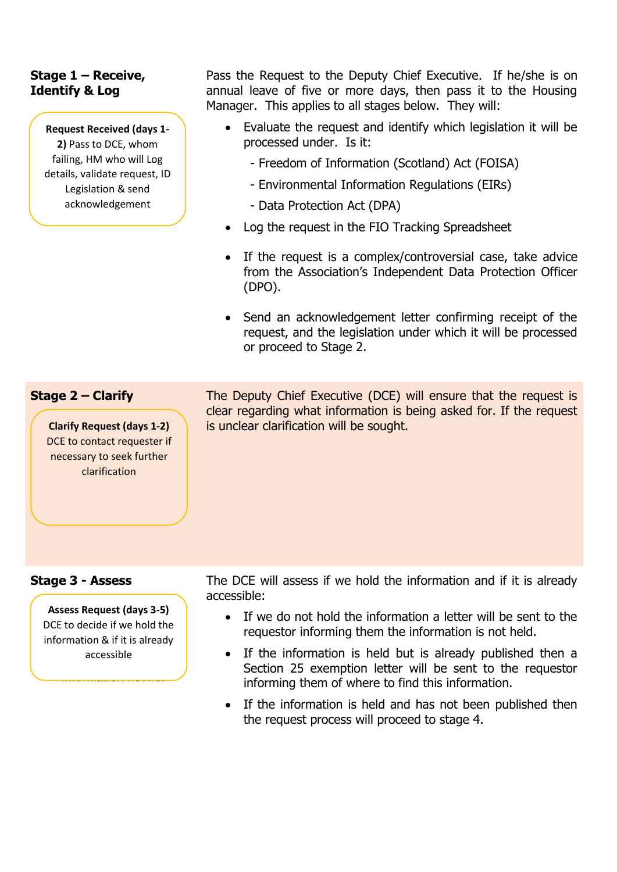## **Stage 1 – Receive, Identify & Log**

**Request Received (days 1- 2)** Pass to DCE, whom failing, HM who will Log details, validate request, ID Legislation & send acknowledgement

Pass the Request to the Deputy Chief Executive. If he/she is on annual leave of five or more days, then pass it to the Housing Manager. This applies to all stages below. They will:

- Evaluate the request and identify which legislation it will be processed under. Is it:
	- Freedom of Information (Scotland) Act (FOISA)
	- Environmental Information Regulations (EIRs)
	- Data Protection Act (DPA)
- Log the request in the FIO Tracking Spreadsheet
- If the request is a complex/controversial case, take advice from the Association's Independent Data Protection Officer (DPO).
- Send an acknowledgement letter confirming receipt of the request, and the legislation under which it will be processed or proceed to Stage 2.

## **Stage 2 – Clarify**

**Clarify Request (days 1-2)** DCE to contact requester if necessary to seek further clarification

The Deputy Chief Executive (DCE) will ensure that the request is clear regarding what information is being asked for. If the request is unclear clarification will be sought.

## **Stage 3 - Assess**

**Assess Request (days 3-5)** DCE to decide if we hold the information & if it is already accessible

**Information not hel**

The DCE will assess if we hold the information and if it is already accessible:

- If we do not hold the information a letter will be sent to the requestor informing them the information is not held.
- If the information is held but is already published then a Section 25 exemption letter will be sent to the requestor informing them of where to find this information.
- If the information is held and has not been published then the request process will proceed to stage 4.